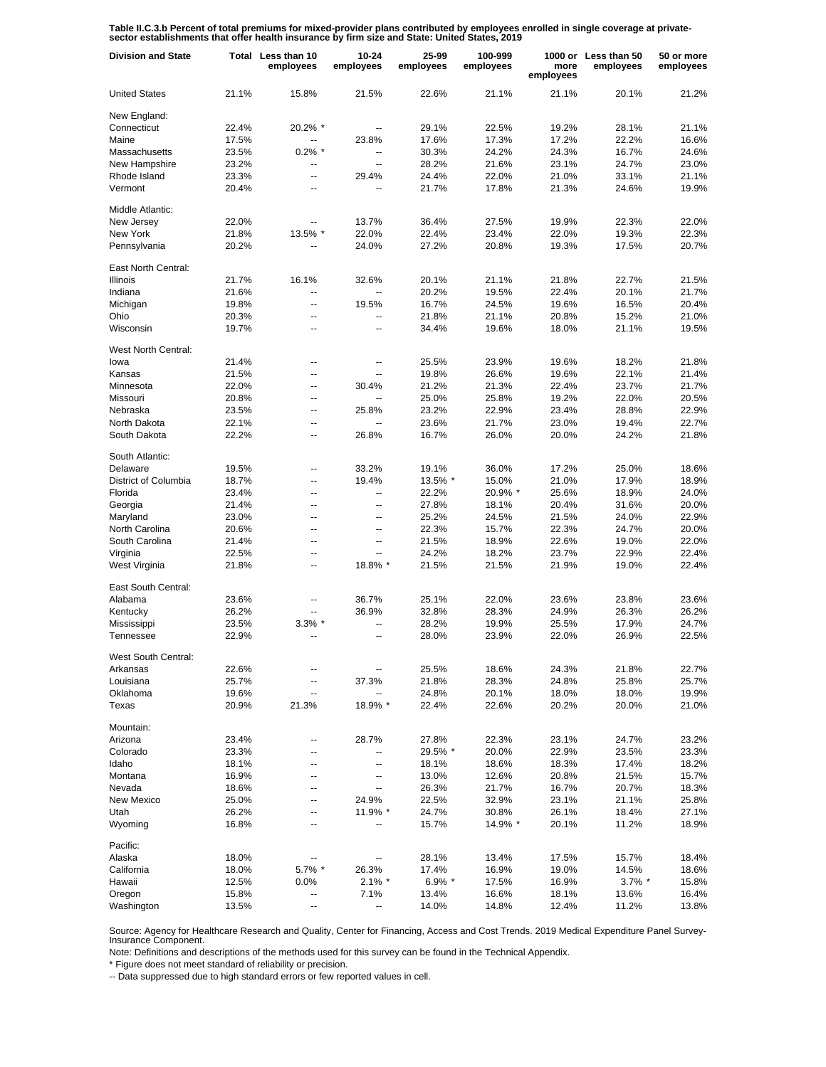Table II.C.3.b Percent of total premiums for mixed-provider plans contributed by employees enrolled in single coverage at private-<br>sector establishments that offer health insurance by firm size and State: United States, 20

| <b>Division and State</b> |                | Total Less than 10<br>employees | $10 - 24$<br>employees | 25-99<br>employees | 100-999<br>employees | more<br>employees | 1000 or Less than 50<br>employees | 50 or more<br>employees |
|---------------------------|----------------|---------------------------------|------------------------|--------------------|----------------------|-------------------|-----------------------------------|-------------------------|
| <b>United States</b>      | 21.1%          | 15.8%                           | 21.5%                  | 22.6%              | 21.1%                | 21.1%             | 20.1%                             | 21.2%                   |
| New England:              |                |                                 |                        |                    |                      |                   |                                   |                         |
| Connecticut               | 22.4%          | 20.2% *                         | ۰.                     | 29.1%              | 22.5%                | 19.2%             | 28.1%                             | 21.1%                   |
| Maine                     | 17.5%          |                                 | 23.8%                  | 17.6%              | 17.3%                | 17.2%             | 22.2%                             | 16.6%                   |
| Massachusetts             | 23.5%          | $0.2\%$ *                       | ۰.                     | 30.3%              | 24.2%                | 24.3%             | 16.7%                             | 24.6%                   |
| New Hampshire             | 23.2%          | $\overline{\phantom{a}}$        |                        | 28.2%              | 21.6%                | 23.1%             | 24.7%                             | 23.0%                   |
| Rhode Island              | 23.3%          | ÷.                              | 29.4%                  | 24.4%              | 22.0%                | 21.0%             | 33.1%                             | 21.1%                   |
| Vermont                   | 20.4%          | $\overline{\phantom{a}}$        | ٠.                     | 21.7%              | 17.8%                | 21.3%             | 24.6%                             | 19.9%                   |
| Middle Atlantic:          |                |                                 |                        |                    |                      |                   |                                   |                         |
| New Jersey                | 22.0%          |                                 | 13.7%                  | 36.4%              | 27.5%                | 19.9%             | 22.3%                             | 22.0%                   |
| New York                  | 21.8%          | 13.5% *                         | 22.0%                  | 22.4%              | 23.4%                | 22.0%             | 19.3%                             | 22.3%                   |
| Pennsylvania              | 20.2%          |                                 | 24.0%                  | 27.2%              | 20.8%                | 19.3%             | 17.5%                             | 20.7%                   |
|                           |                |                                 |                        |                    |                      |                   |                                   |                         |
| East North Central:       |                |                                 |                        |                    |                      |                   |                                   |                         |
| <b>Illinois</b>           | 21.7%          | 16.1%                           | 32.6%                  | 20.1%              | 21.1%                | 21.8%             | 22.7%                             | 21.5%                   |
| Indiana                   | 21.6%          | Щ,                              | −−                     | 20.2%              | 19.5%                | 22.4%             | 20.1%                             | 21.7%                   |
| Michigan                  | 19.8%          | $\overline{a}$                  | 19.5%                  | 16.7%              | 24.5%                | 19.6%             | 16.5%                             | 20.4%                   |
| Ohio                      | 20.3%          | $\overline{\phantom{a}}$        | ٠.                     | 21.8%              | 21.1%                | 20.8%             | 15.2%                             | 21.0%                   |
| Wisconsin                 | 19.7%          | --                              | --                     | 34.4%              | 19.6%                | 18.0%             | 21.1%                             | 19.5%                   |
| West North Central:       |                |                                 |                        |                    |                      |                   |                                   |                         |
| lowa                      | 21.4%          | $\overline{a}$                  | ۰.                     | 25.5%              | 23.9%                | 19.6%             | 18.2%                             | 21.8%                   |
| Kansas                    | 21.5%          | Ξ.                              | ш,                     | 19.8%              | 26.6%                | 19.6%             | 22.1%                             | 21.4%                   |
| Minnesota                 | 22.0%          | ÷.                              | 30.4%                  | 21.2%              | 21.3%                | 22.4%             | 23.7%                             | 21.7%                   |
| Missouri                  | 20.8%          | $\overline{a}$                  | $\overline{a}$         | 25.0%              | 25.8%                | 19.2%             | 22.0%                             | 20.5%                   |
| Nebraska                  | 23.5%          | $\overline{a}$                  | 25.8%                  | 23.2%              | 22.9%                | 23.4%             | 28.8%                             | 22.9%                   |
| North Dakota              | 22.1%          | $\overline{a}$                  | $\overline{a}$         | 23.6%              | 21.7%                | 23.0%             | 19.4%                             | 22.7%                   |
| South Dakota              | 22.2%          | $\overline{\phantom{a}}$        | 26.8%                  | 16.7%              |                      |                   |                                   | 21.8%                   |
|                           |                |                                 |                        |                    | 26.0%                | 20.0%             | 24.2%                             |                         |
| South Atlantic:           |                |                                 |                        |                    |                      |                   |                                   |                         |
| Delaware                  | 19.5%          | --                              | 33.2%                  | 19.1%              | 36.0%                | 17.2%             | 25.0%                             | 18.6%                   |
| District of Columbia      | 18.7%          | --                              | 19.4%                  | 13.5% *            | 15.0%                | 21.0%             | 17.9%                             | 18.9%                   |
| Florida                   | 23.4%          | --                              | --                     | 22.2%              | 20.9% *              | 25.6%             | 18.9%                             | 24.0%                   |
| Georgia                   | 21.4%          | ц,                              | --                     | 27.8%              | 18.1%                | 20.4%             | 31.6%                             | 20.0%                   |
| Maryland                  | 23.0%          | --                              | --                     | 25.2%              | 24.5%                | 21.5%             | 24.0%                             | 22.9%                   |
| North Carolina            | 20.6%          | --                              | ٠.                     | 22.3%              | 15.7%                | 22.3%             | 24.7%                             | 20.0%                   |
| South Carolina            | 21.4%          | --                              | --                     | 21.5%              | 18.9%                | 22.6%             | 19.0%                             | 22.0%                   |
| Virginia                  | 22.5%          | --                              |                        | 24.2%              | 18.2%                | 23.7%             | 22.9%                             | 22.4%                   |
| West Virginia             | 21.8%          | --                              | 18.8% *                | 21.5%              | 21.5%                | 21.9%             | 19.0%                             | 22.4%                   |
| East South Central:       |                |                                 |                        |                    |                      |                   |                                   |                         |
| Alabama                   | 23.6%          | --                              | 36.7%                  | 25.1%              | 22.0%                | 23.6%             | 23.8%                             | 23.6%                   |
| Kentucky                  | 26.2%          | --                              | 36.9%                  | 32.8%              | 28.3%                | 24.9%             | 26.3%                             | 26.2%                   |
| Mississippi               | 23.5%          | $3.3\%$ *                       |                        | 28.2%              | 19.9%                | 25.5%             | 17.9%                             | 24.7%                   |
| Tennessee                 | 22.9%          | --                              | --                     | 28.0%              | 23.9%                | 22.0%             | 26.9%                             | 22.5%                   |
| West South Central:       |                |                                 |                        |                    |                      |                   |                                   |                         |
| Arkansas                  | 22.6%          |                                 |                        | 25.5%              | 18.6%                | 24.3%             | 21.8%                             | 22.7%                   |
| Louisiana                 |                | --                              |                        |                    |                      |                   |                                   |                         |
|                           | 25.7%          |                                 | 37.3%                  | 21.8%              | 28.3%                | 24.8%             | 25.8%                             | 25.7%                   |
| Oklahoma<br>Texas         | 19.6%<br>20.9% | ۰.                              | −−                     | 24.8%<br>22.4%     | 20.1%                | 18.0%             | 18.0%                             | 19.9%                   |
|                           |                | 21.3%                           | 18.9% *                |                    | 22.6%                | 20.2%             | 20.0%                             | 21.0%                   |
| Mountain:                 |                |                                 |                        |                    |                      |                   |                                   |                         |
| Arizona                   | 23.4%          | ۰.                              | 28.7%                  | 27.8%              | 22.3%                | 23.1%             | 24.7%                             | 23.2%                   |
| Colorado                  | 23.3%          | --                              | --                     | 29.5% *            | 20.0%                | 22.9%             | 23.5%                             | 23.3%                   |
| Idaho                     | 18.1%          | --                              | --                     | 18.1%              | 18.6%                | 18.3%             | 17.4%                             | 18.2%                   |
| Montana                   | 16.9%          | --                              | ⊷                      | 13.0%              | 12.6%                | 20.8%             | 21.5%                             | 15.7%                   |
| Nevada                    | 18.6%          | --                              | --                     | 26.3%              | 21.7%                | 16.7%             | 20.7%                             | 18.3%                   |
| <b>New Mexico</b>         | 25.0%          | --                              | 24.9%                  | 22.5%              | 32.9%                | 23.1%             | 21.1%                             | 25.8%                   |
| Utah                      | 26.2%          | --                              | 11.9% *                | 24.7%              | 30.8%                | 26.1%             | 18.4%                             | 27.1%                   |
| Wyoming                   | 16.8%          | --                              | ⊷                      | 15.7%              | 14.9% *              | 20.1%             | 11.2%                             | 18.9%                   |
| Pacific:                  |                |                                 |                        |                    |                      |                   |                                   |                         |
| Alaska                    | 18.0%          |                                 | ⊷                      | 28.1%              | 13.4%                | 17.5%             | 15.7%                             | 18.4%                   |
| California                | 18.0%          | 5.7% *                          | 26.3%                  | 17.4%              | 16.9%                | 19.0%             | 14.5%                             | 18.6%                   |
| Hawaii                    | 12.5%          | 0.0%                            | $2.1\%$ *              | $6.9\%$ *          | 17.5%                | 16.9%             | $3.7\%$ *                         | 15.8%                   |
| Oregon                    | 15.8%          | ۰.                              | 7.1%                   | 13.4%              | 16.6%                | 18.1%             | 13.6%                             | 16.4%                   |
| Washington                | 13.5%          | $\overline{\phantom{a}}$        | -−                     | 14.0%              | 14.8%                | 12.4%             | 11.2%                             | 13.8%                   |

Source: Agency for Healthcare Research and Quality, Center for Financing, Access and Cost Trends. 2019 Medical Expenditure Panel Survey-Insurance Component.

Note: Definitions and descriptions of the methods used for this survey can be found in the Technical Appendix.

\* Figure does not meet standard of reliability or precision.

-- Data suppressed due to high standard errors or few reported values in cell.